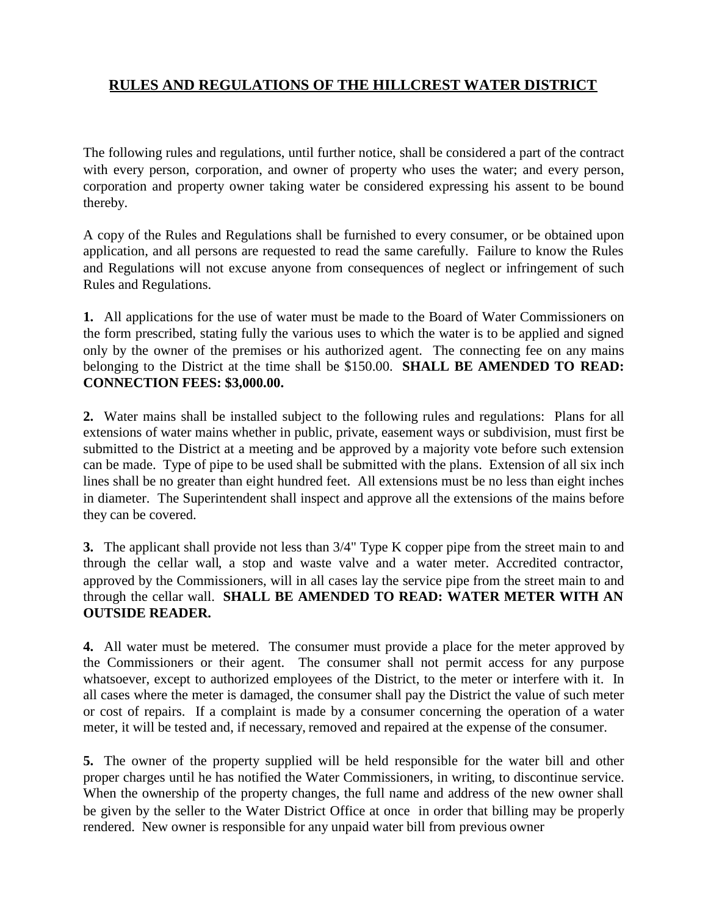## **RULES AND REGULATIONS OF THE HILLCREST WATER DISTRICT**

The following rules and regulations, until further notice, shall be considered a part of the contract with every person, corporation, and owner of property who uses the water; and every person, corporation and property owner taking water be considered expressing his assent to be bound thereby.

A copy of the Rules and Regulations shall be furnished to every consumer, or be obtained upon application, and all persons are requested to read the same carefully. Failure to know the Rules and Regulations will not excuse anyone from consequences of neglect or infringement of such Rules and Regulations.

**1.** All applications for the use of water must be made to the Board of Water Commissioners on the form prescribed, stating fully the various uses to which the water is to be applied and signed only by the owner of the premises or his authorized agent. The connecting fee on any mains belonging to the District at the time shall be \$150.00. **SHALL BE AMENDED TO READ: CONNECTION FEES: \$3,000.00.**

**2.** Water mains shall be installed subject to the following rules and regulations: Plans for all extensions of water mains whether in public, private, easement ways or subdivision, must first be submitted to the District at a meeting and be approved by a majority vote before such extension can be made. Type of pipe to be used shall be submitted with the plans. Extension of all six inch lines shall be no greater than eight hundred feet. All extensions must be no less than eight inches in diameter. The Superintendent shall inspect and approve all the extensions of the mains before they can be covered.

**3.** The applicant shall provide not less than 3/4" Type K copper pipe from the street main to and through the cellar wall, a stop and waste valve and a water meter. Accredited contractor, approved by the Commissioners, will in all cases lay the service pipe from the street main to and through the cellar wall. **SHALL BE AMENDED TO READ: WATER METER WITH AN OUTSIDE READER.**

**4.** All water must be metered. The consumer must provide a place for the meter approved by the Commissioners or their agent. The consumer shall not permit access for any purpose whatsoever, except to authorized employees of the District, to the meter or interfere with it. In all cases where the meter is damaged, the consumer shall pay the District the value of such meter or cost of repairs. If a complaint is made by a consumer concerning the operation of a water meter, it will be tested and, if necessary, removed and repaired at the expense of the consumer.

**5.** The owner of the property supplied will be held responsible for the water bill and other proper charges until he has notified the Water Commissioners, in writing, to discontinue service. When the ownership of the property changes, the full name and address of the new owner shall be given by the seller to the Water District Office at once in order that billing may be properly rendered. New owner is responsible for any unpaid water bill from previous owner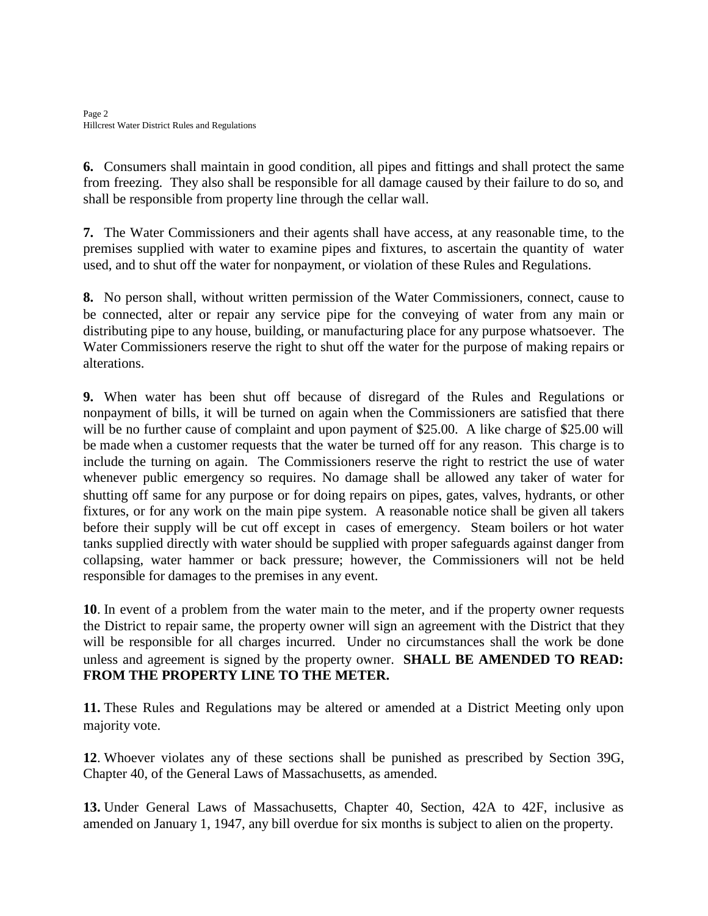Page 2 Hillcrest Water District Rules and Regulations

**6.** Consumers shall maintain in good condition, all pipes and fittings and shall protect the same from freezing. They also shall be responsible for all damage caused by their failure to do so, and shall be responsible from property line through the cellar wall.

**7.** The Water Commissioners and their agents shall have access, at any reasonable time, to the premises supplied with water to examine pipes and fixtures, to ascertain the quantity of water used, and to shut off the water for nonpayment, or violation of these Rules and Regulations.

**8.** No person shall, without written permission of the Water Commissioners, connect, cause to be connected, alter or repair any service pipe for the conveying of water from any main or distributing pipe to any house, building, or manufacturing place for any purpose whatsoever. The Water Commissioners reserve the right to shut off the water for the purpose of making repairs or alterations.

**9.** When water has been shut off because of disregard of the Rules and Regulations or nonpayment of bills, it will be turned on again when the Commissioners are satisfied that there will be no further cause of complaint and upon payment of \$25.00. A like charge of \$25.00 will be made when a customer requests that the water be turned off for any reason. This charge is to include the turning on again. The Commissioners reserve the right to restrict the use of water whenever public emergency so requires. No damage shall be allowed any taker of water for shutting off same for any purpose or for doing repairs on pipes, gates, valves, hydrants, or other fixtures, or for any work on the main pipe system. A reasonable notice shall be given all takers before their supply will be cut off except in cases of emergency. Steam boilers or hot water tanks supplied directly with water should be supplied with proper safeguards against danger from collapsing, water hammer or back pressure; however, the Commissioners will not be held responsible for damages to the premises in any event.

**10**. In event of a problem from the water main to the meter, and if the property owner requests the District to repair same, the property owner will sign an agreement with the District that they will be responsible for all charges incurred. Under no circumstances shall the work be done unless and agreement is signed by the property owner. **SHALL BE AMENDED TO READ: FROM THE PROPERTY LINE TO THE METER.**

**11.** These Rules and Regulations may be altered or amended at a District Meeting only upon majority vote.

**12**. Whoever violates any of these sections shall be punished as prescribed by Section 39G, Chapter 40, of the General Laws of Massachusetts, as amended.

**13.** Under General Laws of Massachusetts, Chapter 40, Section, 42A to 42F, inclusive as amended on January 1, 1947, any bill overdue for six months is subject to alien on the property.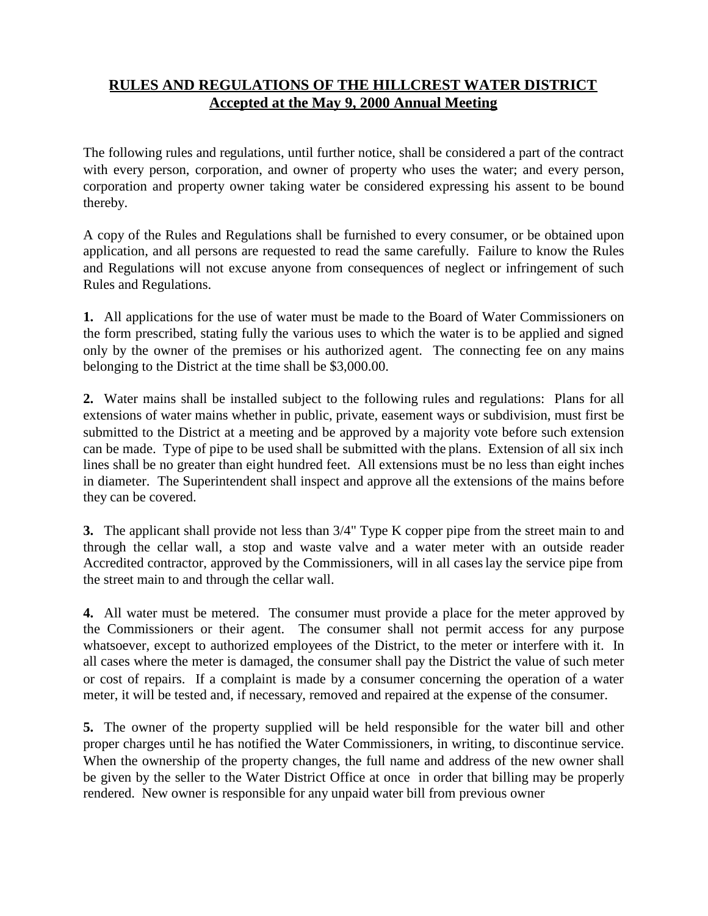## **RULES AND REGULATIONS OF THE HILLCREST WATER DISTRICT Accepted at the May 9, 2000 Annual Meeting**

The following rules and regulations, until further notice, shall be considered a part of the contract with every person, corporation, and owner of property who uses the water; and every person, corporation and property owner taking water be considered expressing his assent to be bound thereby.

A copy of the Rules and Regulations shall be furnished to every consumer, or be obtained upon application, and all persons are requested to read the same carefully. Failure to know the Rules and Regulations will not excuse anyone from consequences of neglect or infringement of such Rules and Regulations.

**1.** All applications for the use of water must be made to the Board of Water Commissioners on the form prescribed, stating fully the various uses to which the water is to be applied and signed only by the owner of the premises or his authorized agent. The connecting fee on any mains belonging to the District at the time shall be \$3,000.00.

**2.** Water mains shall be installed subject to the following rules and regulations: Plans for all extensions of water mains whether in public, private, easement ways or subdivision, must first be submitted to the District at a meeting and be approved by a majority vote before such extension can be made. Type of pipe to be used shall be submitted with the plans. Extension of all six inch lines shall be no greater than eight hundred feet. All extensions must be no less than eight inches in diameter. The Superintendent shall inspect and approve all the extensions of the mains before they can be covered.

**3.** The applicant shall provide not less than 3/4" Type K copper pipe from the street main to and through the cellar wall, a stop and waste valve and a water meter with an outside reader Accredited contractor, approved by the Commissioners, will in all caseslay the service pipe from the street main to and through the cellar wall.

**4.** All water must be metered. The consumer must provide a place for the meter approved by the Commissioners or their agent. The consumer shall not permit access for any purpose whatsoever, except to authorized employees of the District, to the meter or interfere with it. In all cases where the meter is damaged, the consumer shall pay the District the value of such meter or cost of repairs. If a complaint is made by a consumer concerning the operation of a water meter, it will be tested and, if necessary, removed and repaired at the expense of the consumer.

**5.** The owner of the property supplied will be held responsible for the water bill and other proper charges until he has notified the Water Commissioners, in writing, to discontinue service. When the ownership of the property changes, the full name and address of the new owner shall be given by the seller to the Water District Office at once in order that billing may be properly rendered. New owner is responsible for any unpaid water bill from previous owner